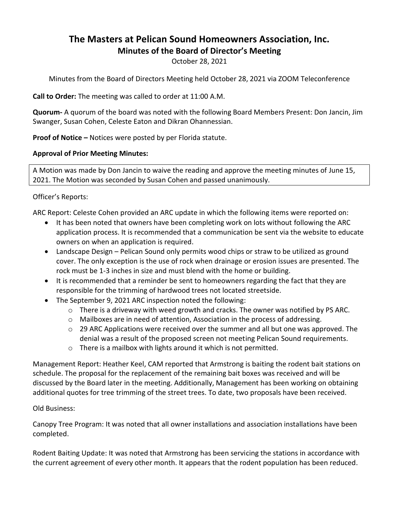## **The Masters at Pelican Sound Homeowners Association, Inc. Minutes of the Board of Director's Meeting**

October 28, 2021

Minutes from the Board of Directors Meeting held October 28, 2021 via ZOOM Teleconference

**Call to Order:** The meeting was called to order at 11:00 A.M.

**Quorum-** A quorum of the board was noted with the following Board Members Present: Don Jancin, Jim Swanger, Susan Cohen, Celeste Eaton and Dikran Ohannessian.

**Proof of Notice –** Notices were posted by per Florida statute.

## **Approval of Prior Meeting Minutes:**

A Motion was made by Don Jancin to waive the reading and approve the meeting minutes of June 15, 2021. The Motion was seconded by Susan Cohen and passed unanimously.

## Officer's Reports:

ARC Report: Celeste Cohen provided an ARC update in which the following items were reported on:

- It has been noted that owners have been completing work on lots without following the ARC application process. It is recommended that a communication be sent via the website to educate owners on when an application is required.
- Landscape Design Pelican Sound only permits wood chips or straw to be utilized as ground cover. The only exception is the use of rock when drainage or erosion issues are presented. The rock must be 1-3 inches in size and must blend with the home or building.
- It is recommended that a reminder be sent to homeowners regarding the fact that they are responsible for the trimming of hardwood trees not located streetside.
- The September 9, 2021 ARC inspection noted the following:
	- $\circ$  There is a driveway with weed growth and cracks. The owner was notified by PS ARC.
	- $\circ$  Mailboxes are in need of attention. Association in the process of addressing.
	- $\circ$  29 ARC Applications were received over the summer and all but one was approved. The denial was a result of the proposed screen not meeting Pelican Sound requirements.
	- o There is a mailbox with lights around it which is not permitted.

Management Report: Heather Keel, CAM reported that Armstrong is baiting the rodent bait stations on schedule. The proposal for the replacement of the remaining bait boxes was received and will be discussed by the Board later in the meeting. Additionally, Management has been working on obtaining additional quotes for tree trimming of the street trees. To date, two proposals have been received.

## Old Business:

Canopy Tree Program: It was noted that all owner installations and association installations have been completed.

Rodent Baiting Update: It was noted that Armstrong has been servicing the stations in accordance with the current agreement of every other month. It appears that the rodent population has been reduced.